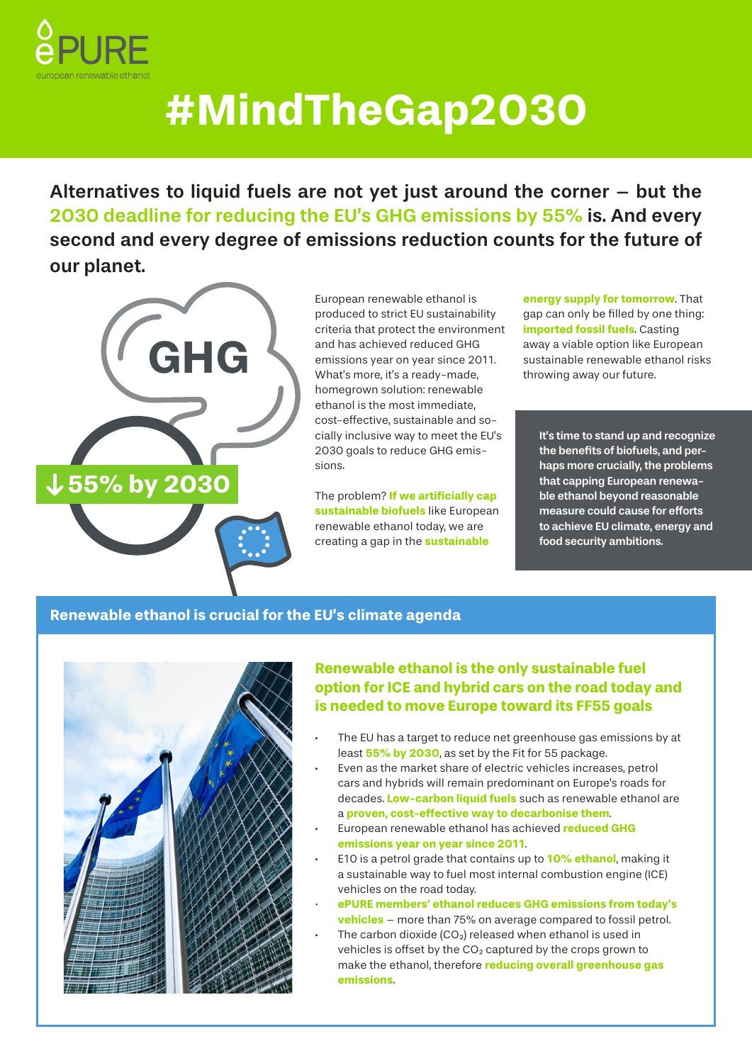

# **#MindTheGap2030**

Alternatives to liquid fuels are not yet just around the corner – but the 2030 deadline for reducing the EU's GHG emissions by 55% is. And every second and every degree of emissions reduction counts for the future of our planet.



European renewable ethanol is produced to strict EU sustainability criteria that protect the environment and has achieved reduced GHG emissions year on year since 2011. What's more, it's a ready-made, homegrown solution: renewable ethanol is the most immediate, cost-effective, sustainable and socially inclusive way to meet the EU's 2030 goals to reduce GHG emissions.

The problem? **If we artificially cap sustainable biofuels** like European renewable ethanol today, we are creating a gap in the **sustainable** 

**energy supply for tomorrow**. That gap can only be filled by one thing: **imported fossil fuels**. Casting away a viable option like European sustainable renewable ethanol risks throwing away our future.

It's time to stand up and recognize the benefits of biofuels, and perhaps more crucially, the problems that capping European renewable ethanol beyond reasonable measure could cause for efforts to achieve EU climate, energy and food security ambitions.

#### **Renewable ethanol is crucial for the EU's climate agenda**



#### **Renewable ethanol is the only sustainable fuel option for ICE and hybrid cars on the road today and is needed to move Europe toward its FF55 goals**

- The EU has a target to reduce net greenhouse gas emissions by at least **55% by 2030**, as set by the Fit for 55 package.
- Even as the market share of electric vehicles increases, petrol cars and hybrids will remain predominant on Europe's roads for decades. **Low-carbon liquid fuels** such as renewable ethanol are a **proven, cost-effective way to decarbonise them**.
- · European renewable ethanol has achieved **reduced GHG emissions year on year since 2011**.
- · E10 is a petrol grade that contains up to **10% ethanol**, making it a sustainable way to fuel most internal combustion engine (ICE) vehicles on the road today.
- · **ePURE members' ethanol reduces GHG emissions from today's vehicles** – more than 75% on average compared to fossil petrol.
- The carbon dioxide  $(CO_2)$  released when ethanol is used in vehicles is offset by the  $CO<sub>2</sub>$  captured by the crops grown to make the ethanol, therefore **reducing overall greenhouse gas emissions**.